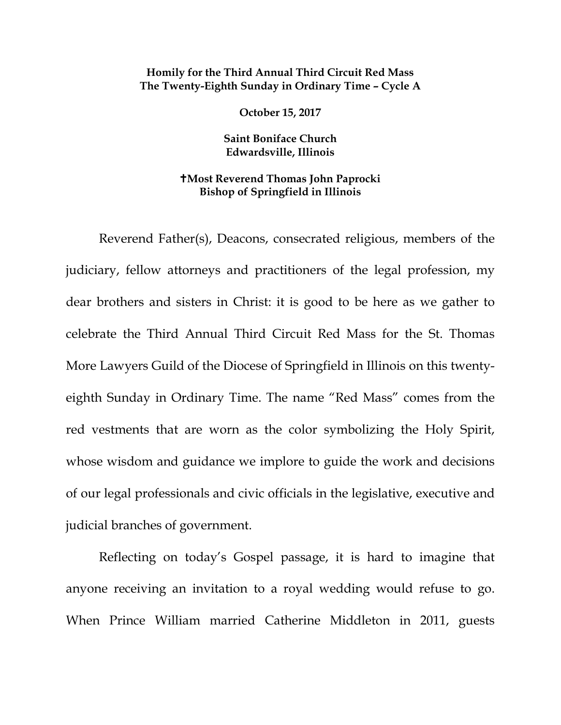## **Homily for the Third Annual Third Circuit Red Mass The Twenty-Eighth Sunday in Ordinary Time – Cycle A**

**October 15, 2017**

**Saint Boniface Church Edwardsville, Illinois**

## **Most Reverend Thomas John Paprocki Bishop of Springfield in Illinois**

Reverend Father(s), Deacons, consecrated religious, members of the judiciary, fellow attorneys and practitioners of the legal profession, my dear brothers and sisters in Christ: it is good to be here as we gather to celebrate the Third Annual Third Circuit Red Mass for the St. Thomas More Lawyers Guild of the Diocese of Springfield in Illinois on this twentyeighth Sunday in Ordinary Time. The name "Red Mass" comes from the red vestments that are worn as the color symbolizing the Holy Spirit, whose wisdom and guidance we implore to guide the work and decisions of our legal professionals and civic officials in the legislative, executive and judicial branches of government.

Reflecting on today's Gospel passage, it is hard to imagine that anyone receiving an invitation to a royal wedding would refuse to go. When Prince William married Catherine Middleton in 2011, guests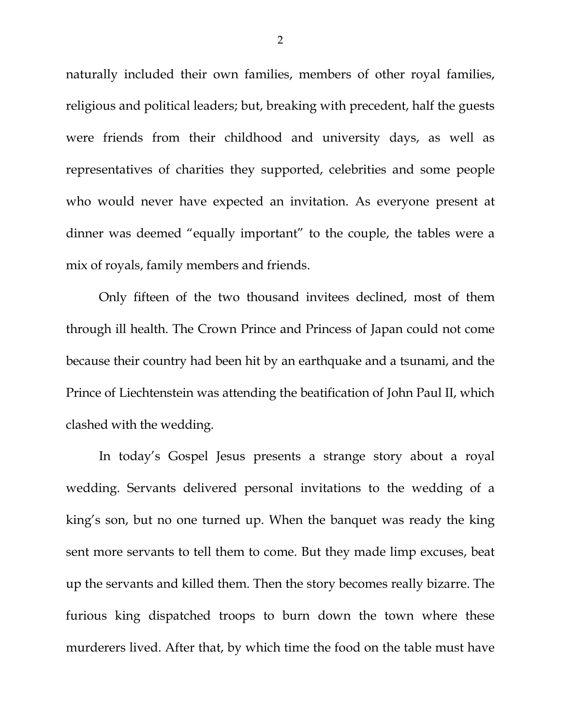naturally included their own families, members of other royal families, religious and political leaders; but, breaking with precedent, half the guests were friends from their childhood and university days, as well as representatives of charities they supported, celebrities and some people who would never have expected an invitation. As everyone present at dinner was deemed "equally important" to the couple, the tables were a mix of royals, family members and friends.

Only fifteen of the two thousand invitees declined, most of them through ill health. The Crown Prince and Princess of Japan could not come because their country had been hit by an earthquake and a tsunami, and the Prince of Liechtenstein was attending the beatification of John Paul II, which clashed with the wedding.

In today's Gospel Jesus presents a strange story about a royal wedding. Servants delivered personal invitations to the wedding of a king's son, but no one turned up. When the banquet was ready the king sent more servants to tell them to come. But they made limp excuses, beat up the servants and killed them. Then the story becomes really bizarre. The furious king dispatched troops to burn down the town where these murderers lived. After that, by which time the food on the table must have

2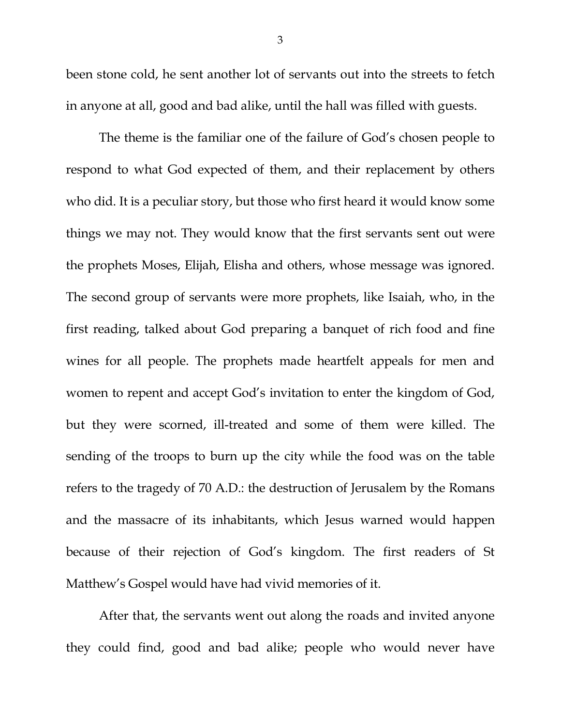been stone cold, he sent another lot of servants out into the streets to fetch in anyone at all, good and bad alike, until the hall was filled with guests.

The theme is the familiar one of the failure of God's chosen people to respond to what God expected of them, and their replacement by others who did. It is a peculiar story, but those who first heard it would know some things we may not. They would know that the first servants sent out were the prophets Moses, Elijah, Elisha and others, whose message was ignored. The second group of servants were more prophets, like Isaiah, who, in the first reading, talked about God preparing a banquet of rich food and fine wines for all people. The prophets made heartfelt appeals for men and women to repent and accept God's invitation to enter the kingdom of God, but they were scorned, ill-treated and some of them were killed. The sending of the troops to burn up the city while the food was on the table refers to the tragedy of 70 A.D.: the destruction of Jerusalem by the Romans and the massacre of its inhabitants, which Jesus warned would happen because of their rejection of God's kingdom. The first readers of St Matthew's Gospel would have had vivid memories of it.

After that, the servants went out along the roads and invited anyone they could find, good and bad alike; people who would never have

3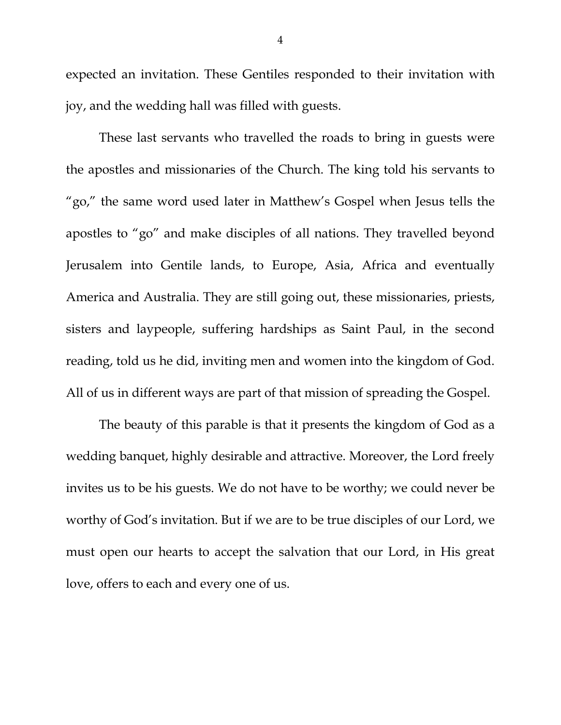expected an invitation. These Gentiles responded to their invitation with joy, and the wedding hall was filled with guests.

These last servants who travelled the roads to bring in guests were the apostles and missionaries of the Church. The king told his servants to "go," the same word used later in Matthew's Gospel when Jesus tells the apostles to "go" and make disciples of all nations. They travelled beyond Jerusalem into Gentile lands, to Europe, Asia, Africa and eventually America and Australia. They are still going out, these missionaries, priests, sisters and laypeople, suffering hardships as Saint Paul, in the second reading, told us he did, inviting men and women into the kingdom of God. All of us in different ways are part of that mission of spreading the Gospel.

The beauty of this parable is that it presents the kingdom of God as a wedding banquet, highly desirable and attractive. Moreover, the Lord freely invites us to be his guests. We do not have to be worthy; we could never be worthy of God's invitation. But if we are to be true disciples of our Lord, we must open our hearts to accept the salvation that our Lord, in His great love, offers to each and every one of us.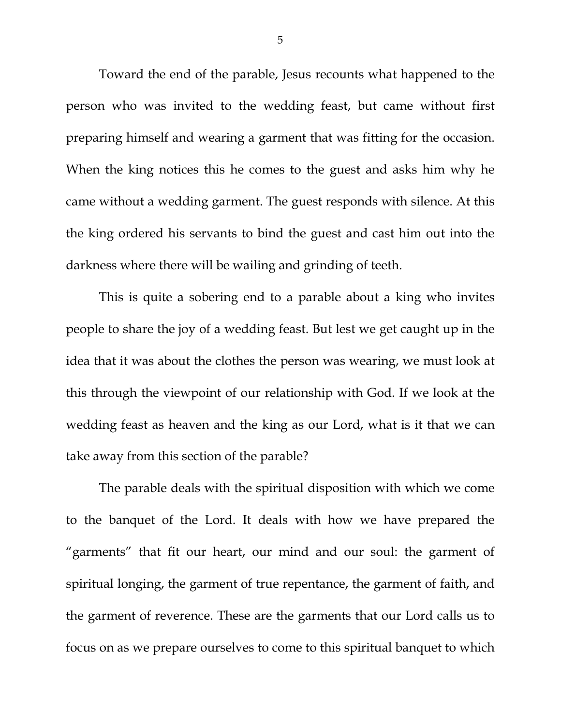Toward the end of the parable, Jesus recounts what happened to the person who was invited to the wedding feast, but came without first preparing himself and wearing a garment that was fitting for the occasion. When the king notices this he comes to the guest and asks him why he came without a wedding garment. The guest responds with silence. At this the king ordered his servants to bind the guest and cast him out into the darkness where there will be wailing and grinding of teeth.

This is quite a sobering end to a parable about a king who invites people to share the joy of a wedding feast. But lest we get caught up in the idea that it was about the clothes the person was wearing, we must look at this through the viewpoint of our relationship with God. If we look at the wedding feast as heaven and the king as our Lord, what is it that we can take away from this section of the parable?

The parable deals with the spiritual disposition with which we come to the banquet of the Lord. It deals with how we have prepared the "garments" that fit our heart, our mind and our soul: the garment of spiritual longing, the garment of true repentance, the garment of faith, and the garment of reverence. These are the garments that our Lord calls us to focus on as we prepare ourselves to come to this spiritual banquet to which

5